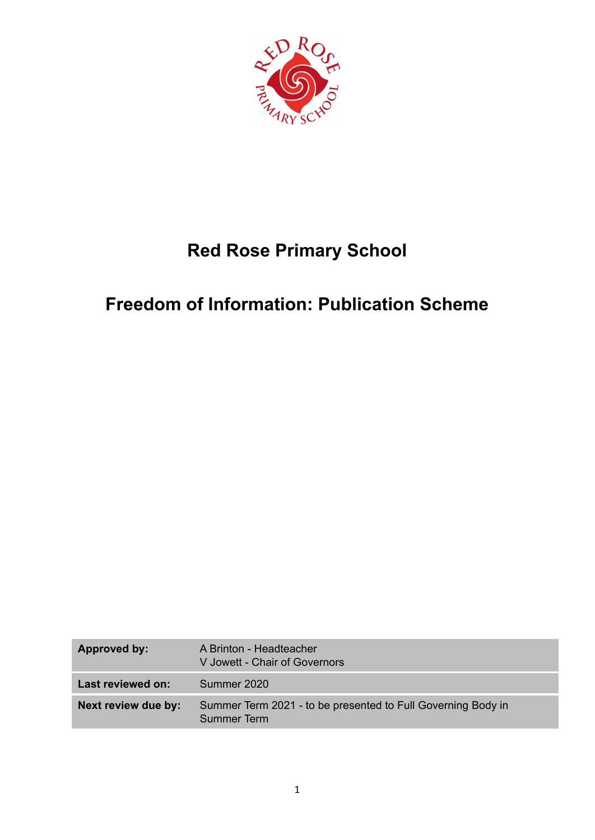

# **Red Rose Primary School**

# **Freedom of Information: Publication Scheme**

| Approved by:        | A Brinton - Headteacher<br>V Jowett - Chair of Governors                    |
|---------------------|-----------------------------------------------------------------------------|
| Last reviewed on:   | Summer 2020                                                                 |
| Next review due by: | Summer Term 2021 - to be presented to Full Governing Body in<br>Summer Term |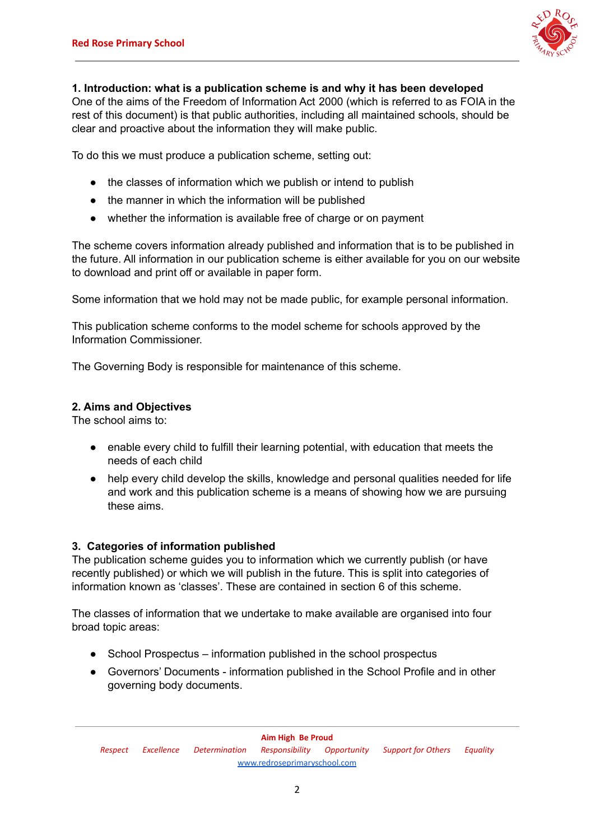

## **1. Introduction: what is a publication scheme is and why it has been developed**

One of the aims of the Freedom of Information Act 2000 (which is referred to as FOIA in the rest of this document) is that public authorities, including all maintained schools, should be clear and proactive about the information they will make public.

To do this we must produce a publication scheme, setting out:

- the classes of information which we publish or intend to publish
- the manner in which the information will be published
- whether the information is available free of charge or on payment

The scheme covers information already published and information that is to be published in the future. All information in our publication scheme is either available for you on our website to download and print off or available in paper form.

Some information that we hold may not be made public, for example personal information.

This publication scheme conforms to the model scheme for schools approved by the Information Commissioner.

The Governing Body is responsible for maintenance of this scheme.

## **2. Aims and Objectives**

The school aims to:

- enable every child to fulfill their learning potential, with education that meets the needs of each child
- help every child develop the skills, knowledge and personal qualities needed for life and work and this publication scheme is a means of showing how we are pursuing these aims.

## **3. Categories of information published**

The publication scheme guides you to information which we currently publish (or have recently published) or which we will publish in the future. This is split into categories of information known as 'classes'. These are contained in section 6 of this scheme.

The classes of information that we undertake to make available are organised into four broad topic areas:

- School Prospectus information published in the school prospectus
- Governors' Documents information published in the School Profile and in other governing body documents.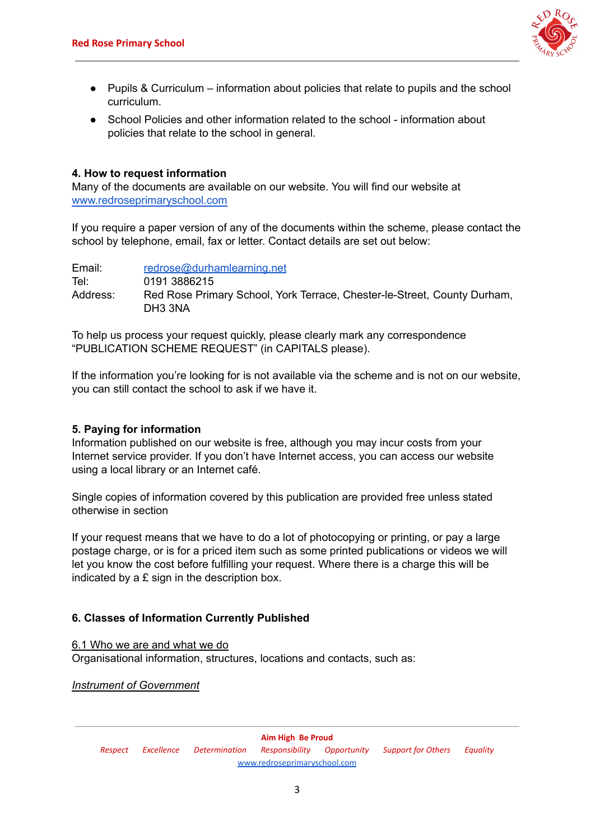

- Pupils & Curriculum information about policies that relate to pupils and the school curriculum.
- School Policies and other information related to the school information about policies that relate to the school in general.

## **4. How to request information**

Many of the documents are available on our website. You will find our website at [www.redroseprimaryschool.com](http://www.redroseprimaryschool.com)

If you require a paper version of any of the documents within the scheme, please contact the school by telephone, email, fax or letter. Contact details are set out below:

Email: [redrose@durhamlearning.net](mailto:redrose@durhamlearning.net) Tel: 0191 3886215 Address: Red Rose Primary School, York Terrace, Chester-le-Street, County Durham, DH3 3NA

To help us process your request quickly, please clearly mark any correspondence "PUBLICATION SCHEME REQUEST" (in CAPITALS please).

If the information you're looking for is not available via the scheme and is not on our website, you can still contact the school to ask if we have it.

# **5. Paying for information**

Information published on our website is free, although you may incur costs from your Internet service provider. If you don't have Internet access, you can access our website using a local library or an Internet café.

Single copies of information covered by this publication are provided free unless stated otherwise in section

If your request means that we have to do a lot of photocopying or printing, or pay a large postage charge, or is for a priced item such as some printed publications or videos we will let you know the cost before fulfilling your request. Where there is a charge this will be indicated by a  $E$  sign in the description box.

# **6. Classes of Information Currently Published**

6.1 Who we are and what we do

Organisational information, structures, locations and contacts, such as:

*Instrument of Government*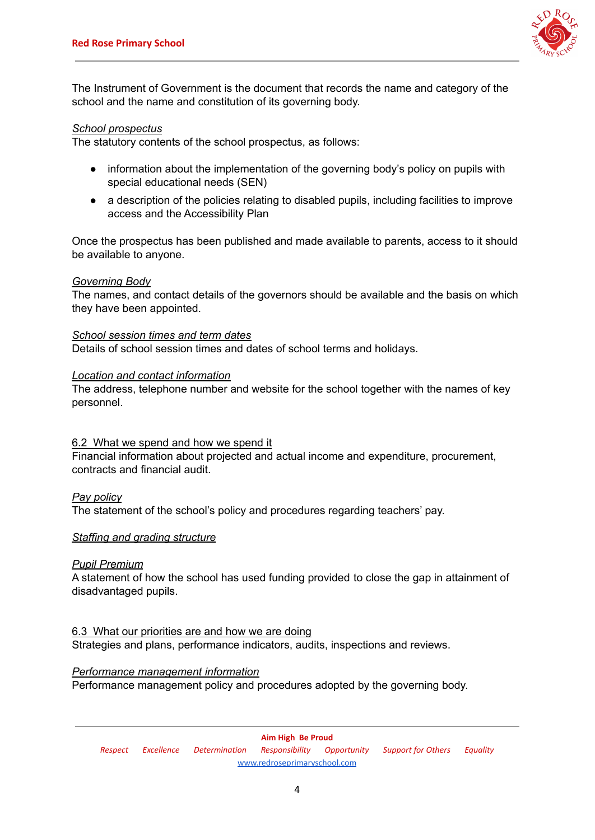

The Instrument of Government is the document that records the name and category of the school and the name and constitution of its governing body.

#### *School prospectus*

The statutory contents of the school prospectus, as follows:

- information about the implementation of the governing body's policy on pupils with special educational needs (SEN)
- a description of the policies relating to disabled pupils, including facilities to improve access and the Accessibility Plan

Once the prospectus has been published and made available to parents, access to it should be available to anyone.

#### *Governing Body*

The names, and contact details of the governors should be available and the basis on which they have been appointed.

*School session times and term dates* Details of school session times and dates of school terms and holidays.

## *Location and contact information*

The address, telephone number and website for the school together with the names of key personnel.

## 6.2 What we spend and how we spend it

Financial information about projected and actual income and expenditure, procurement, contracts and financial audit.

## *Pay policy*

The statement of the school's policy and procedures regarding teachers' pay.

#### *Staffing and grading structure*

## *Pupil Premium*

A statement of how the school has used funding provided to close the gap in attainment of disadvantaged pupils.

# 6.3 What our priorities are and how we are doing

Strategies and plans, performance indicators, audits, inspections and reviews.

#### *Performance management information*

Performance management policy and procedures adopted by the governing body.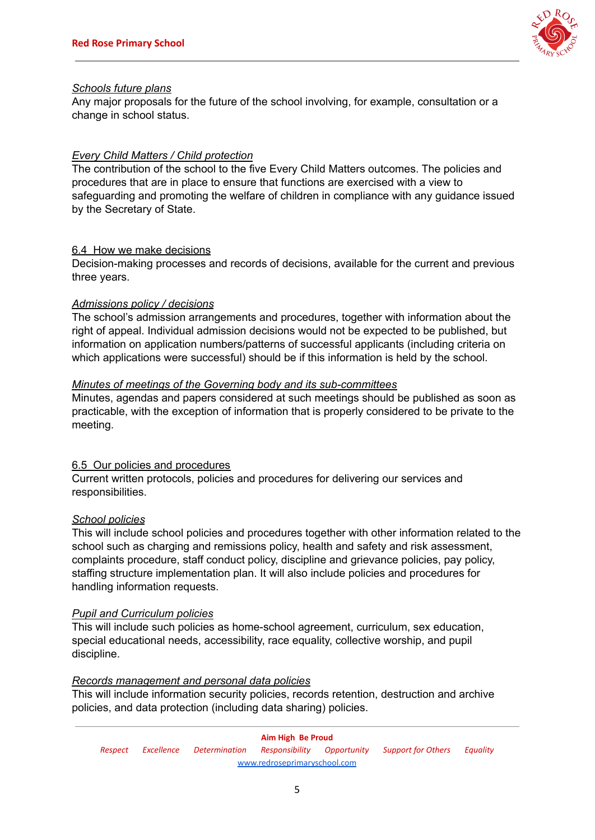

#### *Schools future plans*

Any major proposals for the future of the school involving, for example, consultation or a change in school status.

## *Every Child Matters / Child protection*

The contribution of the school to the five Every Child Matters outcomes. The policies and procedures that are in place to ensure that functions are exercised with a view to safeguarding and promoting the welfare of children in compliance with any guidance issued by the Secretary of State.

## 6.4 How we make decisions

Decision-making processes and records of decisions, available for the current and previous three years.

#### *Admissions policy / decisions*

The school's admission arrangements and procedures, together with information about the right of appeal. Individual admission decisions would not be expected to be published, but information on application numbers/patterns of successful applicants (including criteria on which applications were successful) should be if this information is held by the school.

#### *Minutes of meetings of the Governing body and its sub-committees*

Minutes, agendas and papers considered at such meetings should be published as soon as practicable, with the exception of information that is properly considered to be private to the meeting.

## 6.5 Our policies and procedures

Current written protocols, policies and procedures for delivering our services and responsibilities.

## *School policies*

This will include school policies and procedures together with other information related to the school such as charging and remissions policy, health and safety and risk assessment, complaints procedure, staff conduct policy, discipline and grievance policies, pay policy, staffing structure implementation plan. It will also include policies and procedures for handling information requests.

## *Pupil and Curriculum policies*

This will include such policies as home-school agreement, curriculum, sex education, special educational needs, accessibility, race equality, collective worship, and pupil discipline.

#### *Records management and personal data policies*

This will include information security policies, records retention, destruction and archive policies, and data protection (including data sharing) policies.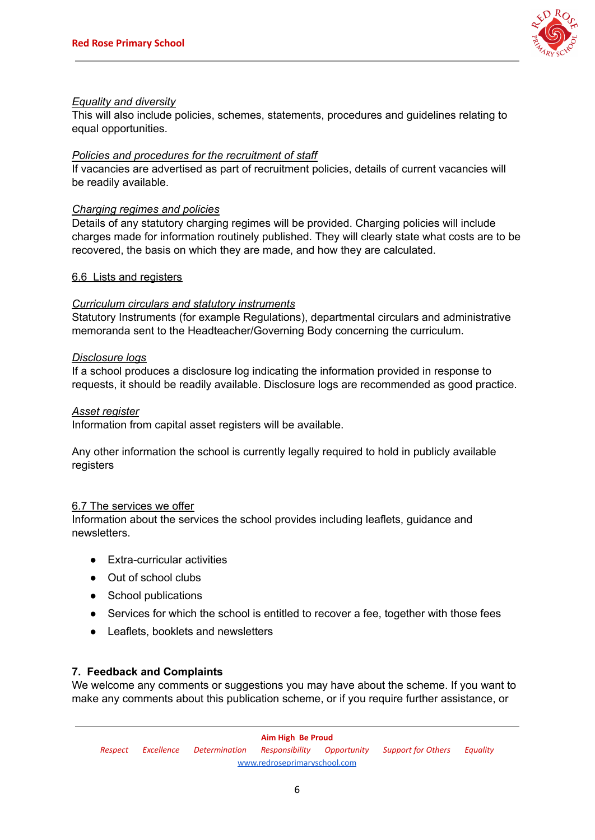

## *Equality and diversity*

This will also include policies, schemes, statements, procedures and guidelines relating to equal opportunities.

#### *Policies and procedures for the recruitment of staff*

If vacancies are advertised as part of recruitment policies, details of current vacancies will be readily available.

#### *Charging regimes and policies*

Details of any statutory charging regimes will be provided. Charging policies will include charges made for information routinely published. They will clearly state what costs are to be recovered, the basis on which they are made, and how they are calculated.

#### 6.6 Lists and registers

#### *Curriculum circulars and statutory instruments*

Statutory Instruments (for example Regulations), departmental circulars and administrative memoranda sent to the Headteacher/Governing Body concerning the curriculum.

#### *Disclosure logs*

If a school produces a disclosure log indicating the information provided in response to requests, it should be readily available. Disclosure logs are recommended as good practice.

#### *Asset register*

Information from capital asset registers will be available.

Any other information the school is currently legally required to hold in publicly available registers

#### 6.7 The services we offer

Information about the services the school provides including leaflets, guidance and newsletters.

- Extra-curricular activities
- Out of school clubs
- School publications
- Services for which the school is entitled to recover a fee, together with those fees
- Leaflets, booklets and newsletters

## **7. Feedback and Complaints**

We welcome any comments or suggestions you may have about the scheme. If you want to make any comments about this publication scheme, or if you require further assistance, or